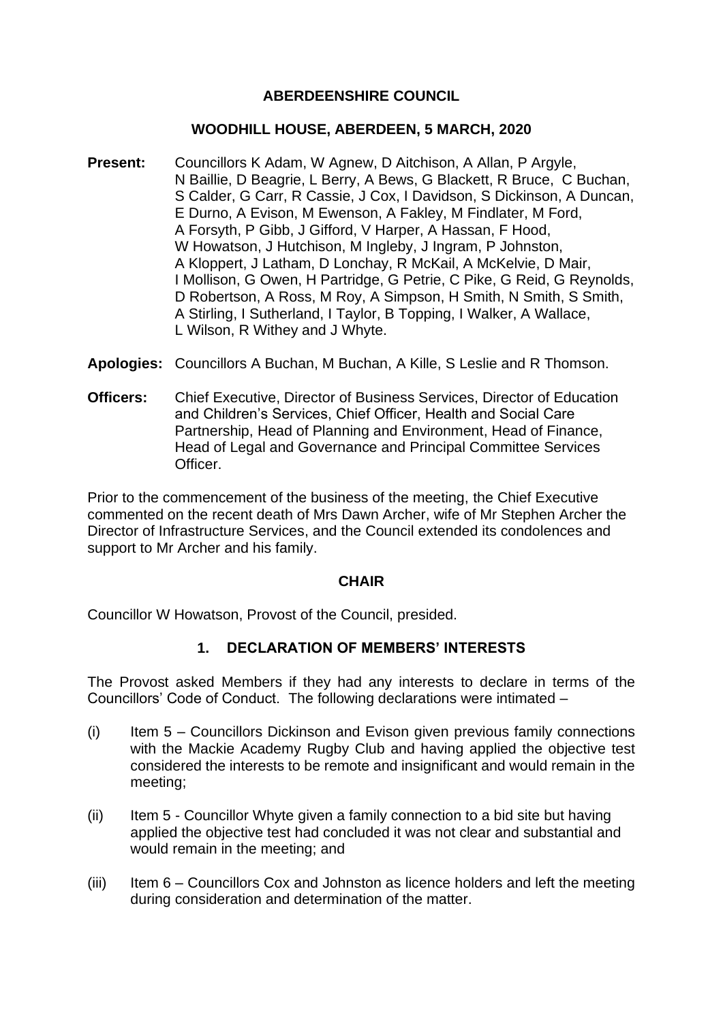# **ABERDEENSHIRE COUNCIL**

### **WOODHILL HOUSE, ABERDEEN, 5 MARCH, 2020**

- **Present:** Councillors K Adam, W Agnew, D Aitchison, A Allan, P Argyle, N Baillie, D Beagrie, L Berry, A Bews, G Blackett, R Bruce, C Buchan, S Calder, G Carr, R Cassie, J Cox, I Davidson, S Dickinson, A Duncan, E Durno, A Evison, M Ewenson, A Fakley, M Findlater, M Ford, A Forsyth, P Gibb, J Gifford, V Harper, A Hassan, F Hood, W Howatson, J Hutchison, M Ingleby, J Ingram, P Johnston, A Kloppert, J Latham, D Lonchay, R McKail, A McKelvie, D Mair, I Mollison, G Owen, H Partridge, G Petrie, C Pike, G Reid, G Reynolds, D Robertson, A Ross, M Roy, A Simpson, H Smith, N Smith, S Smith, A Stirling, I Sutherland, I Taylor, B Topping, I Walker, A Wallace, L Wilson, R Withey and J Whyte.
- **Apologies:** Councillors A Buchan, M Buchan, A Kille, S Leslie and R Thomson.
- **Officers:** Chief Executive, Director of Business Services, Director of Education and Children's Services, Chief Officer, Health and Social Care Partnership, Head of Planning and Environment, Head of Finance, Head of Legal and Governance and Principal Committee Services Officer.

Prior to the commencement of the business of the meeting, the Chief Executive commented on the recent death of Mrs Dawn Archer, wife of Mr Stephen Archer the Director of Infrastructure Services, and the Council extended its condolences and support to Mr Archer and his family.

#### **CHAIR**

Councillor W Howatson, Provost of the Council, presided.

### **1. DECLARATION OF MEMBERS' INTERESTS**

The Provost asked Members if they had any interests to declare in terms of the Councillors' Code of Conduct. The following declarations were intimated –

- (i) Item 5 Councillors Dickinson and Evison given previous family connections with the Mackie Academy Rugby Club and having applied the objective test considered the interests to be remote and insignificant and would remain in the meeting;
- (ii) Item 5 Councillor Whyte given a family connection to a bid site but having applied the objective test had concluded it was not clear and substantial and would remain in the meeting; and
- $(iii)$  Item 6 Councillors Cox and Johnston as licence holders and left the meeting during consideration and determination of the matter.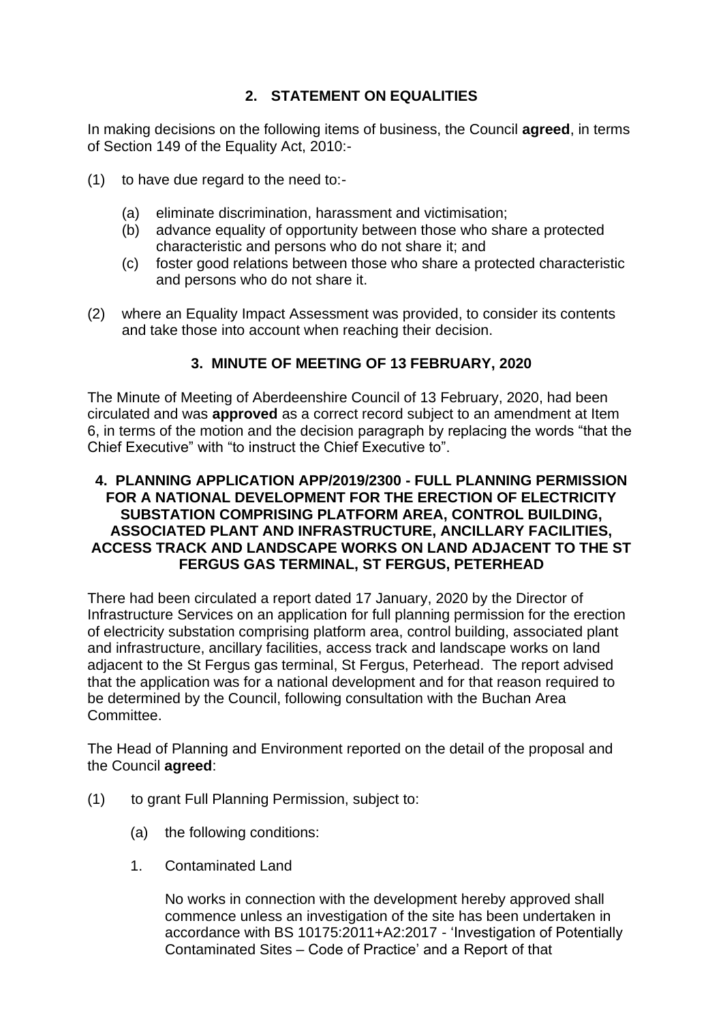# **2. STATEMENT ON EQUALITIES**

In making decisions on the following items of business, the Council **agreed**, in terms of Section 149 of the Equality Act, 2010:-

- (1) to have due regard to the need to:-
	- (a) eliminate discrimination, harassment and victimisation;
	- (b) advance equality of opportunity between those who share a protected characteristic and persons who do not share it; and
	- (c) foster good relations between those who share a protected characteristic and persons who do not share it.
- (2) where an Equality Impact Assessment was provided, to consider its contents and take those into account when reaching their decision.

# **3. MINUTE OF MEETING OF 13 FEBRUARY, 2020**

The Minute of Meeting of Aberdeenshire Council of 13 February, 2020, had been circulated and was **approved** as a correct record subject to an amendment at Item 6, in terms of the motion and the decision paragraph by replacing the words "that the Chief Executive" with "to instruct the Chief Executive to".

### **4. PLANNING APPLICATION APP/2019/2300 - FULL PLANNING PERMISSION FOR A NATIONAL DEVELOPMENT FOR THE ERECTION OF ELECTRICITY SUBSTATION COMPRISING PLATFORM AREA, CONTROL BUILDING, ASSOCIATED PLANT AND INFRASTRUCTURE, ANCILLARY FACILITIES, ACCESS TRACK AND LANDSCAPE WORKS ON LAND ADJACENT TO THE ST FERGUS GAS TERMINAL, ST FERGUS, PETERHEAD**

There had been circulated a report dated 17 January, 2020 by the Director of Infrastructure Services on an application for full planning permission for the erection of electricity substation comprising platform area, control building, associated plant and infrastructure, ancillary facilities, access track and landscape works on land adjacent to the St Fergus gas terminal, St Fergus, Peterhead. The report advised that the application was for a national development and for that reason required to be determined by the Council, following consultation with the Buchan Area **Committee.** 

The Head of Planning and Environment reported on the detail of the proposal and the Council **agreed**:

- (1) to grant Full Planning Permission, subject to:
	- (a) the following conditions:
	- 1. Contaminated Land

No works in connection with the development hereby approved shall commence unless an investigation of the site has been undertaken in accordance with BS 10175:2011+A2:2017 - 'Investigation of Potentially Contaminated Sites – Code of Practice' and a Report of that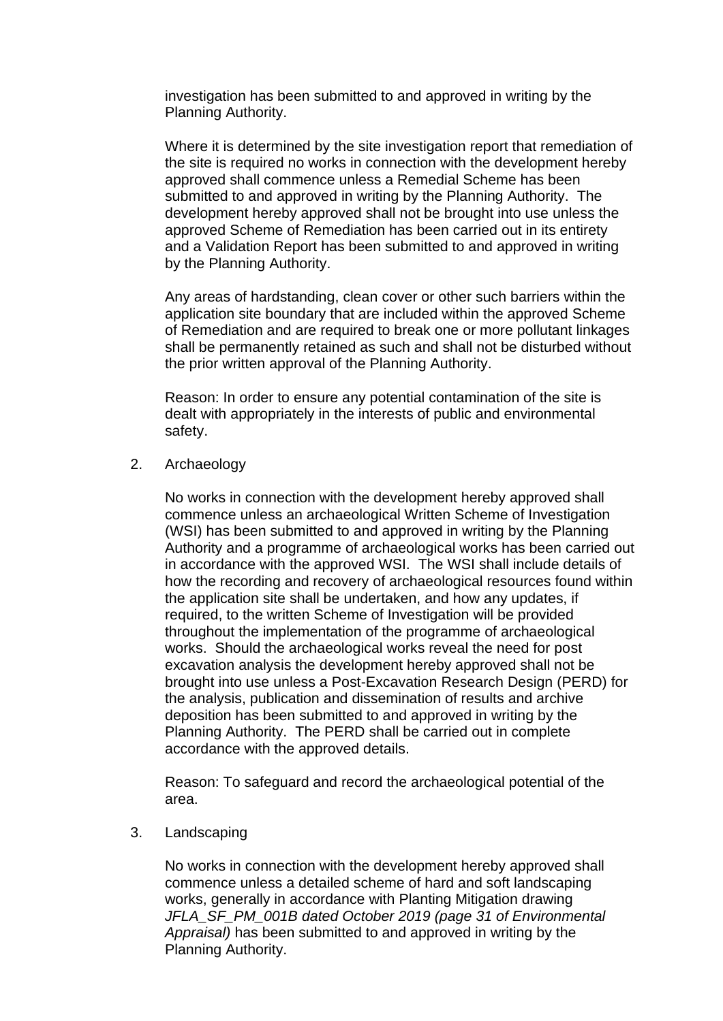investigation has been submitted to and approved in writing by the Planning Authority.

Where it is determined by the site investigation report that remediation of the site is required no works in connection with the development hereby approved shall commence unless a Remedial Scheme has been submitted to and approved in writing by the Planning Authority. The development hereby approved shall not be brought into use unless the approved Scheme of Remediation has been carried out in its entirety and a Validation Report has been submitted to and approved in writing by the Planning Authority.

Any areas of hardstanding, clean cover or other such barriers within the application site boundary that are included within the approved Scheme of Remediation and are required to break one or more pollutant linkages shall be permanently retained as such and shall not be disturbed without the prior written approval of the Planning Authority.

Reason: In order to ensure any potential contamination of the site is dealt with appropriately in the interests of public and environmental safety.

### 2. Archaeology

No works in connection with the development hereby approved shall commence unless an archaeological Written Scheme of Investigation (WSI) has been submitted to and approved in writing by the Planning Authority and a programme of archaeological works has been carried out in accordance with the approved WSI. The WSI shall include details of how the recording and recovery of archaeological resources found within the application site shall be undertaken, and how any updates, if required, to the written Scheme of Investigation will be provided throughout the implementation of the programme of archaeological works. Should the archaeological works reveal the need for post excavation analysis the development hereby approved shall not be brought into use unless a Post-Excavation Research Design (PERD) for the analysis, publication and dissemination of results and archive deposition has been submitted to and approved in writing by the Planning Authority. The PERD shall be carried out in complete accordance with the approved details.

Reason: To safeguard and record the archaeological potential of the area.

3. Landscaping

No works in connection with the development hereby approved shall commence unless a detailed scheme of hard and soft landscaping works, generally in accordance with Planting Mitigation drawing *JFLA\_SF\_PM\_001B dated October 2019 (page 31 of Environmental Appraisal)* has been submitted to and approved in writing by the Planning Authority.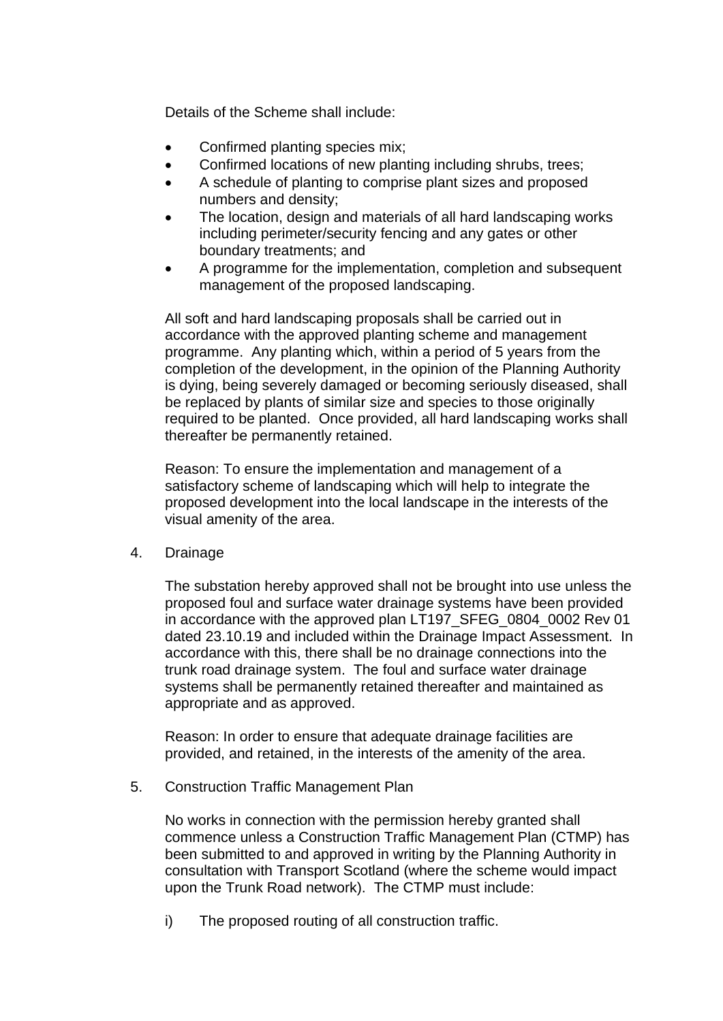Details of the Scheme shall include:

- Confirmed planting species mix;
- Confirmed locations of new planting including shrubs, trees;
- A schedule of planting to comprise plant sizes and proposed numbers and density;
- The location, design and materials of all hard landscaping works including perimeter/security fencing and any gates or other boundary treatments; and
- A programme for the implementation, completion and subsequent management of the proposed landscaping.

All soft and hard landscaping proposals shall be carried out in accordance with the approved planting scheme and management programme. Any planting which, within a period of 5 years from the completion of the development, in the opinion of the Planning Authority is dying, being severely damaged or becoming seriously diseased, shall be replaced by plants of similar size and species to those originally required to be planted. Once provided, all hard landscaping works shall thereafter be permanently retained.

Reason: To ensure the implementation and management of a satisfactory scheme of landscaping which will help to integrate the proposed development into the local landscape in the interests of the visual amenity of the area.

4. Drainage

The substation hereby approved shall not be brought into use unless the proposed foul and surface water drainage systems have been provided in accordance with the approved plan LT197 SFEG 0804 0002 Rev 01 dated 23.10.19 and included within the Drainage Impact Assessment. In accordance with this, there shall be no drainage connections into the trunk road drainage system. The foul and surface water drainage systems shall be permanently retained thereafter and maintained as appropriate and as approved.

Reason: In order to ensure that adequate drainage facilities are provided, and retained, in the interests of the amenity of the area.

5. Construction Traffic Management Plan

No works in connection with the permission hereby granted shall commence unless a Construction Traffic Management Plan (CTMP) has been submitted to and approved in writing by the Planning Authority in consultation with Transport Scotland (where the scheme would impact upon the Trunk Road network). The CTMP must include:

i) The proposed routing of all construction traffic.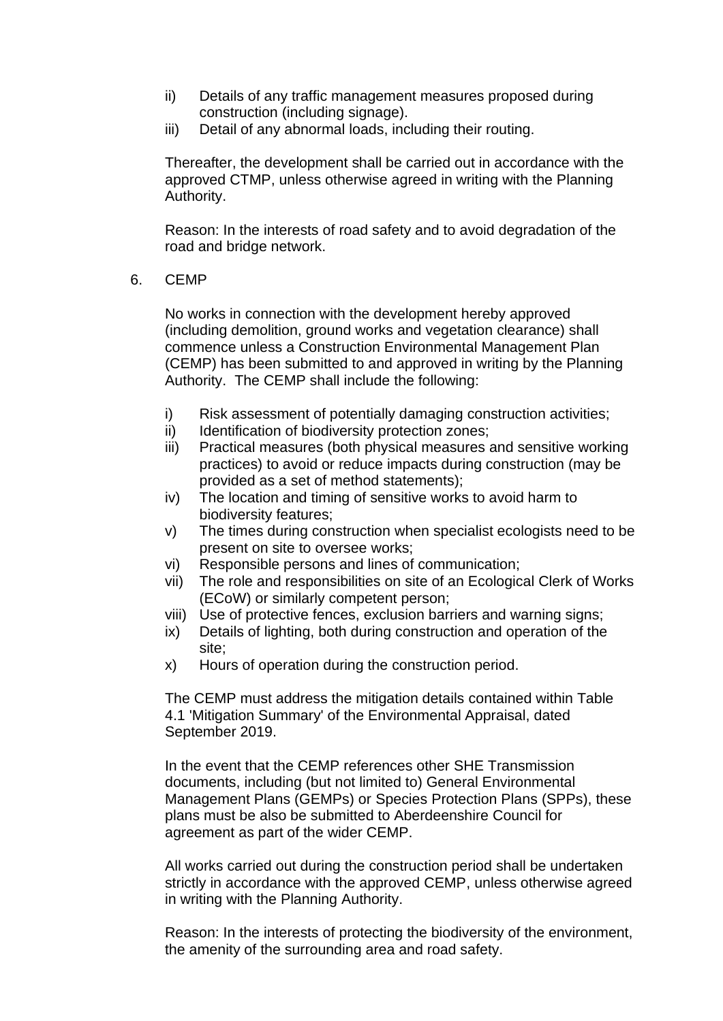- ii) Details of any traffic management measures proposed during construction (including signage).
- iii) Detail of any abnormal loads, including their routing.

Thereafter, the development shall be carried out in accordance with the approved CTMP, unless otherwise agreed in writing with the Planning Authority.

Reason: In the interests of road safety and to avoid degradation of the road and bridge network.

6. CEMP

No works in connection with the development hereby approved (including demolition, ground works and vegetation clearance) shall commence unless a Construction Environmental Management Plan (CEMP) has been submitted to and approved in writing by the Planning Authority. The CEMP shall include the following:

- i) Risk assessment of potentially damaging construction activities;
- ii) Identification of biodiversity protection zones;
- iii) Practical measures (both physical measures and sensitive working practices) to avoid or reduce impacts during construction (may be provided as a set of method statements);
- iv) The location and timing of sensitive works to avoid harm to biodiversity features;
- v) The times during construction when specialist ecologists need to be present on site to oversee works;
- vi) Responsible persons and lines of communication;
- vii) The role and responsibilities on site of an Ecological Clerk of Works (ECoW) or similarly competent person;
- viii) Use of protective fences, exclusion barriers and warning signs;
- ix) Details of lighting, both during construction and operation of the site;
- x) Hours of operation during the construction period.

The CEMP must address the mitigation details contained within Table 4.1 'Mitigation Summary' of the Environmental Appraisal, dated September 2019.

In the event that the CEMP references other SHE Transmission documents, including (but not limited to) General Environmental Management Plans (GEMPs) or Species Protection Plans (SPPs), these plans must be also be submitted to Aberdeenshire Council for agreement as part of the wider CEMP.

All works carried out during the construction period shall be undertaken strictly in accordance with the approved CEMP, unless otherwise agreed in writing with the Planning Authority.

Reason: In the interests of protecting the biodiversity of the environment, the amenity of the surrounding area and road safety.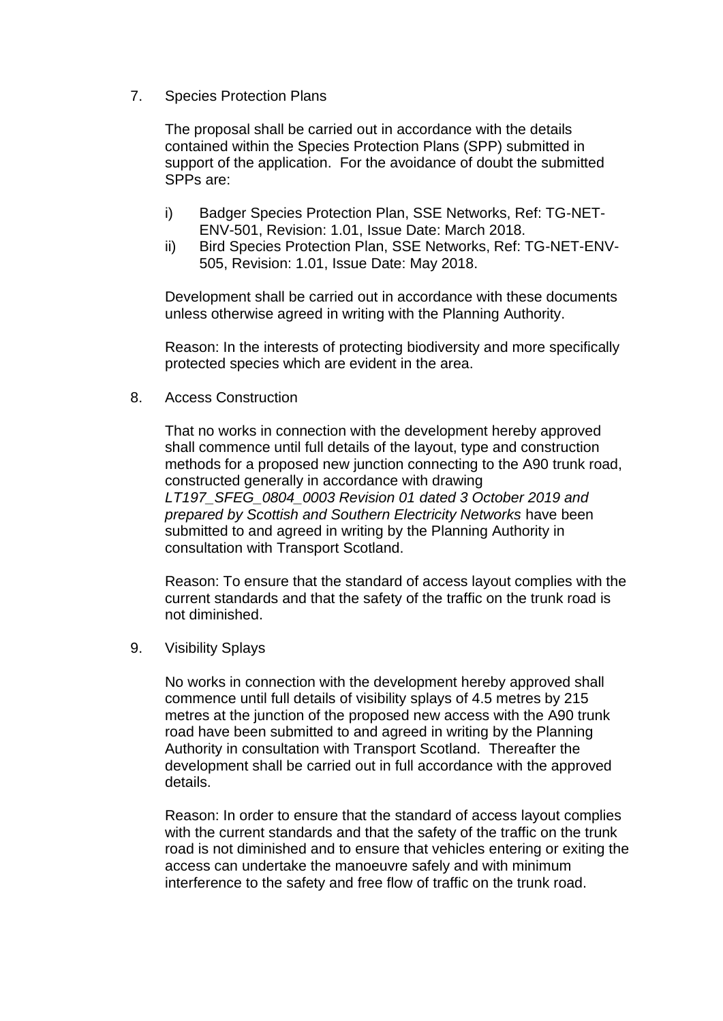7. Species Protection Plans

The proposal shall be carried out in accordance with the details contained within the Species Protection Plans (SPP) submitted in support of the application. For the avoidance of doubt the submitted SPPs are:

- i) Badger Species Protection Plan, SSE Networks, Ref: TG-NET-ENV-501, Revision: 1.01, Issue Date: March 2018.
- ii) Bird Species Protection Plan, SSE Networks, Ref: TG-NET-ENV-505, Revision: 1.01, Issue Date: May 2018.

Development shall be carried out in accordance with these documents unless otherwise agreed in writing with the Planning Authority.

Reason: In the interests of protecting biodiversity and more specifically protected species which are evident in the area.

8. Access Construction

That no works in connection with the development hereby approved shall commence until full details of the layout, type and construction methods for a proposed new junction connecting to the A90 trunk road, constructed generally in accordance with drawing *LT197\_SFEG\_0804\_0003 Revision 01 dated 3 October 2019 and prepared by Scottish and Southern Electricity Networks* have been submitted to and agreed in writing by the Planning Authority in consultation with Transport Scotland.

Reason: To ensure that the standard of access layout complies with the current standards and that the safety of the traffic on the trunk road is not diminished.

9. Visibility Splays

No works in connection with the development hereby approved shall commence until full details of visibility splays of 4.5 metres by 215 metres at the junction of the proposed new access with the A90 trunk road have been submitted to and agreed in writing by the Planning Authority in consultation with Transport Scotland. Thereafter the development shall be carried out in full accordance with the approved details.

Reason: In order to ensure that the standard of access layout complies with the current standards and that the safety of the traffic on the trunk road is not diminished and to ensure that vehicles entering or exiting the access can undertake the manoeuvre safely and with minimum interference to the safety and free flow of traffic on the trunk road.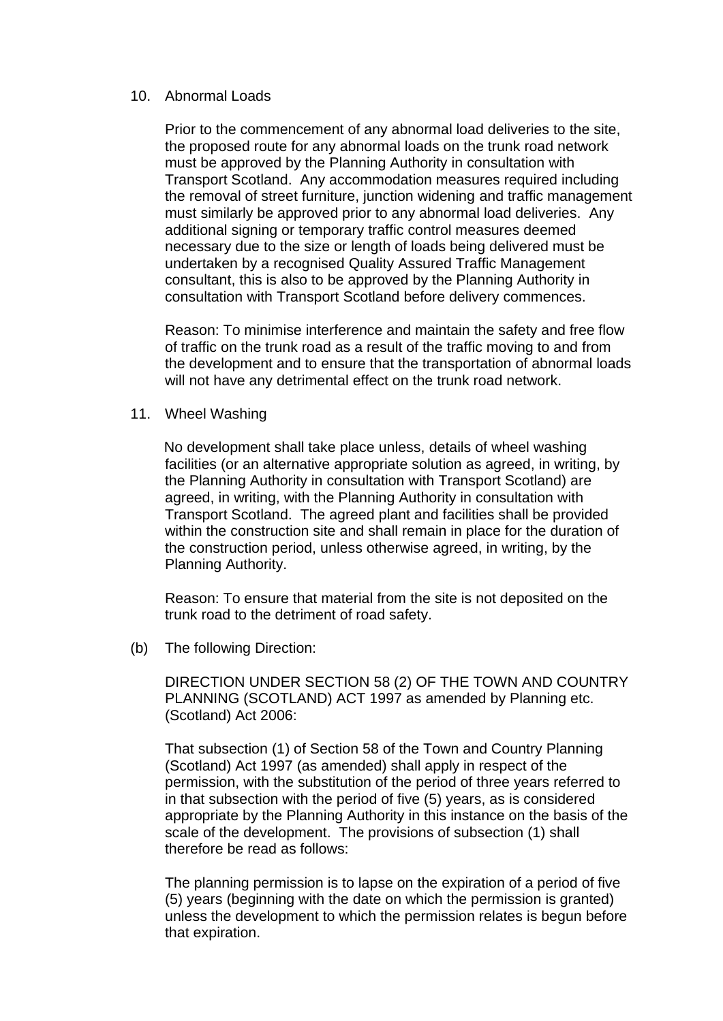#### 10. Abnormal Loads

Prior to the commencement of any abnormal load deliveries to the site, the proposed route for any abnormal loads on the trunk road network must be approved by the Planning Authority in consultation with Transport Scotland. Any accommodation measures required including the removal of street furniture, junction widening and traffic management must similarly be approved prior to any abnormal load deliveries. Any additional signing or temporary traffic control measures deemed necessary due to the size or length of loads being delivered must be undertaken by a recognised Quality Assured Traffic Management consultant, this is also to be approved by the Planning Authority in consultation with Transport Scotland before delivery commences.

Reason: To minimise interference and maintain the safety and free flow of traffic on the trunk road as a result of the traffic moving to and from the development and to ensure that the transportation of abnormal loads will not have any detrimental effect on the trunk road network.

11. Wheel Washing

No development shall take place unless, details of wheel washing facilities (or an alternative appropriate solution as agreed, in writing, by the Planning Authority in consultation with Transport Scotland) are agreed, in writing, with the Planning Authority in consultation with Transport Scotland. The agreed plant and facilities shall be provided within the construction site and shall remain in place for the duration of the construction period, unless otherwise agreed, in writing, by the Planning Authority.

Reason: To ensure that material from the site is not deposited on the trunk road to the detriment of road safety.

(b) The following Direction:

DIRECTION UNDER SECTION 58 (2) OF THE TOWN AND COUNTRY PLANNING (SCOTLAND) ACT 1997 as amended by Planning etc. (Scotland) Act 2006:

That subsection (1) of Section 58 of the Town and Country Planning (Scotland) Act 1997 (as amended) shall apply in respect of the permission, with the substitution of the period of three years referred to in that subsection with the period of five (5) years, as is considered appropriate by the Planning Authority in this instance on the basis of the scale of the development. The provisions of subsection (1) shall therefore be read as follows:

The planning permission is to lapse on the expiration of a period of five (5) years (beginning with the date on which the permission is granted) unless the development to which the permission relates is begun before that expiration.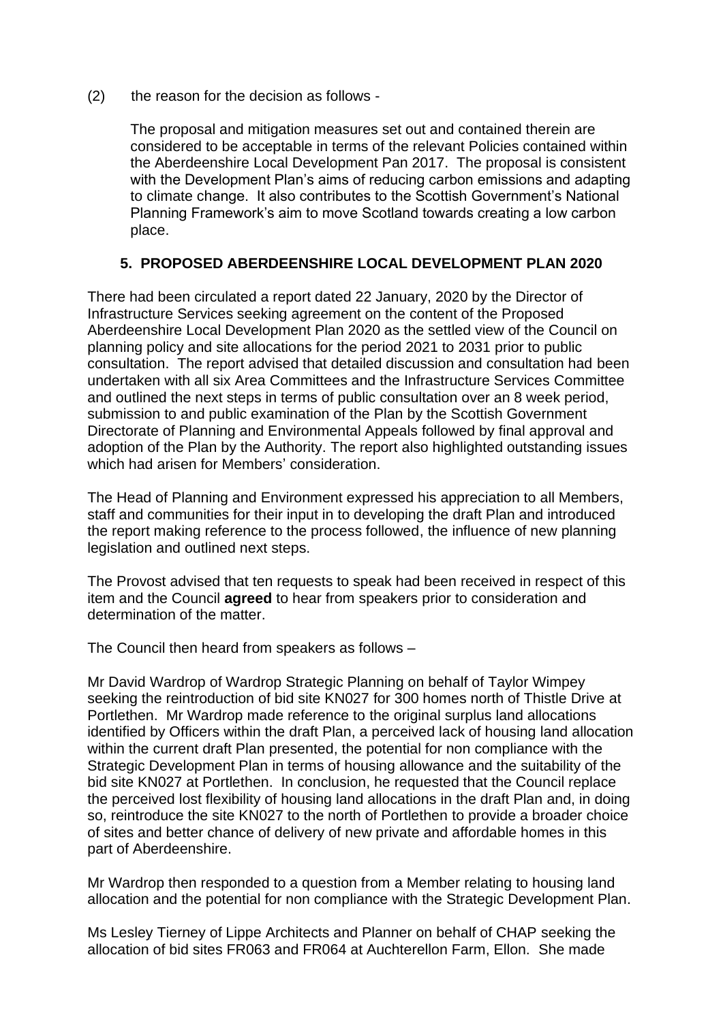(2) the reason for the decision as follows -

The proposal and mitigation measures set out and contained therein are considered to be acceptable in terms of the relevant Policies contained within the Aberdeenshire Local Development Pan 2017. The proposal is consistent with the Development Plan's aims of reducing carbon emissions and adapting to climate change. It also contributes to the Scottish Government's National Planning Framework's aim to move Scotland towards creating a low carbon place.

# **5. PROPOSED ABERDEENSHIRE LOCAL DEVELOPMENT PLAN 2020**

There had been circulated a report dated 22 January, 2020 by the Director of Infrastructure Services seeking agreement on the content of the Proposed Aberdeenshire Local Development Plan 2020 as the settled view of the Council on planning policy and site allocations for the period 2021 to 2031 prior to public consultation. The report advised that detailed discussion and consultation had been undertaken with all six Area Committees and the Infrastructure Services Committee and outlined the next steps in terms of public consultation over an 8 week period, submission to and public examination of the Plan by the Scottish Government Directorate of Planning and Environmental Appeals followed by final approval and adoption of the Plan by the Authority. The report also highlighted outstanding issues which had arisen for Members' consideration.

The Head of Planning and Environment expressed his appreciation to all Members, staff and communities for their input in to developing the draft Plan and introduced the report making reference to the process followed, the influence of new planning legislation and outlined next steps.

The Provost advised that ten requests to speak had been received in respect of this item and the Council **agreed** to hear from speakers prior to consideration and determination of the matter.

The Council then heard from speakers as follows –

Mr David Wardrop of Wardrop Strategic Planning on behalf of Taylor Wimpey seeking the reintroduction of bid site KN027 for 300 homes north of Thistle Drive at Portlethen. Mr Wardrop made reference to the original surplus land allocations identified by Officers within the draft Plan, a perceived lack of housing land allocation within the current draft Plan presented, the potential for non compliance with the Strategic Development Plan in terms of housing allowance and the suitability of the bid site KN027 at Portlethen. In conclusion, he requested that the Council replace the perceived lost flexibility of housing land allocations in the draft Plan and, in doing so, reintroduce the site KN027 to the north of Portlethen to provide a broader choice of sites and better chance of delivery of new private and affordable homes in this part of Aberdeenshire.

Mr Wardrop then responded to a question from a Member relating to housing land allocation and the potential for non compliance with the Strategic Development Plan.

Ms Lesley Tierney of Lippe Architects and Planner on behalf of CHAP seeking the allocation of bid sites FR063 and FR064 at Auchterellon Farm, Ellon. She made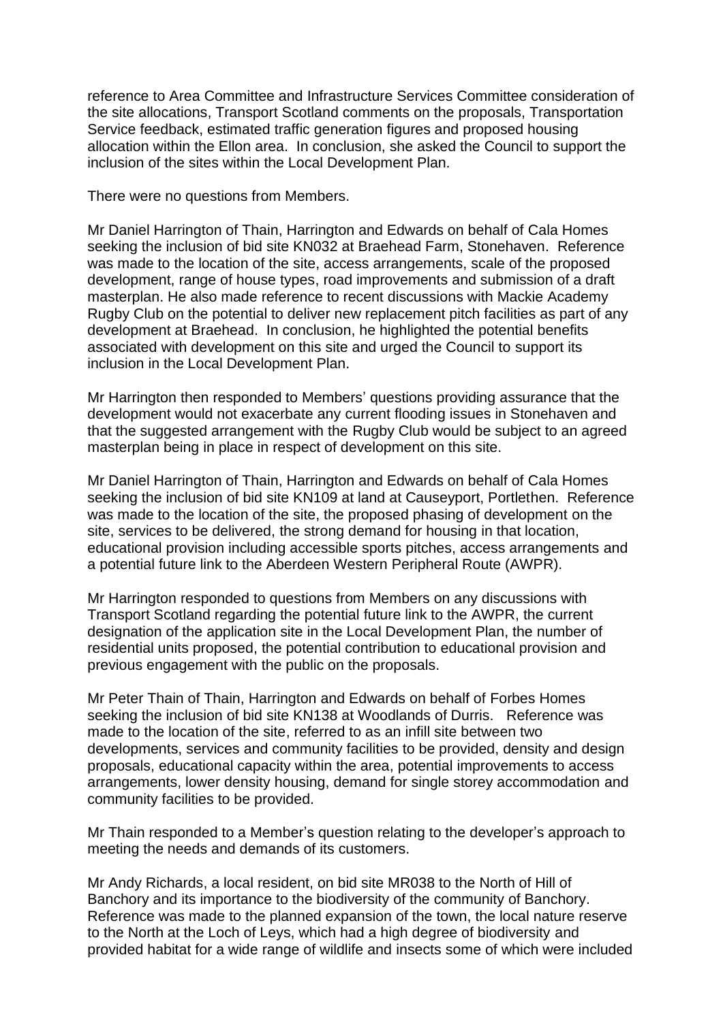reference to Area Committee and Infrastructure Services Committee consideration of the site allocations, Transport Scotland comments on the proposals, Transportation Service feedback, estimated traffic generation figures and proposed housing allocation within the Ellon area. In conclusion, she asked the Council to support the inclusion of the sites within the Local Development Plan.

There were no questions from Members.

Mr Daniel Harrington of Thain, Harrington and Edwards on behalf of Cala Homes seeking the inclusion of bid site KN032 at Braehead Farm, Stonehaven. Reference was made to the location of the site, access arrangements, scale of the proposed development, range of house types, road improvements and submission of a draft masterplan. He also made reference to recent discussions with Mackie Academy Rugby Club on the potential to deliver new replacement pitch facilities as part of any development at Braehead. In conclusion, he highlighted the potential benefits associated with development on this site and urged the Council to support its inclusion in the Local Development Plan.

Mr Harrington then responded to Members' questions providing assurance that the development would not exacerbate any current flooding issues in Stonehaven and that the suggested arrangement with the Rugby Club would be subject to an agreed masterplan being in place in respect of development on this site.

Mr Daniel Harrington of Thain, Harrington and Edwards on behalf of Cala Homes seeking the inclusion of bid site KN109 at land at Causeyport, Portlethen. Reference was made to the location of the site, the proposed phasing of development on the site, services to be delivered, the strong demand for housing in that location, educational provision including accessible sports pitches, access arrangements and a potential future link to the Aberdeen Western Peripheral Route (AWPR).

Mr Harrington responded to questions from Members on any discussions with Transport Scotland regarding the potential future link to the AWPR, the current designation of the application site in the Local Development Plan, the number of residential units proposed, the potential contribution to educational provision and previous engagement with the public on the proposals.

Mr Peter Thain of Thain, Harrington and Edwards on behalf of Forbes Homes seeking the inclusion of bid site KN138 at Woodlands of Durris. Reference was made to the location of the site, referred to as an infill site between two developments, services and community facilities to be provided, density and design proposals, educational capacity within the area, potential improvements to access arrangements, lower density housing, demand for single storey accommodation and community facilities to be provided.

Mr Thain responded to a Member's question relating to the developer's approach to meeting the needs and demands of its customers.

Mr Andy Richards, a local resident, on bid site MR038 to the North of Hill of Banchory and its importance to the biodiversity of the community of Banchory. Reference was made to the planned expansion of the town, the local nature reserve to the North at the Loch of Leys, which had a high degree of biodiversity and provided habitat for a wide range of wildlife and insects some of which were included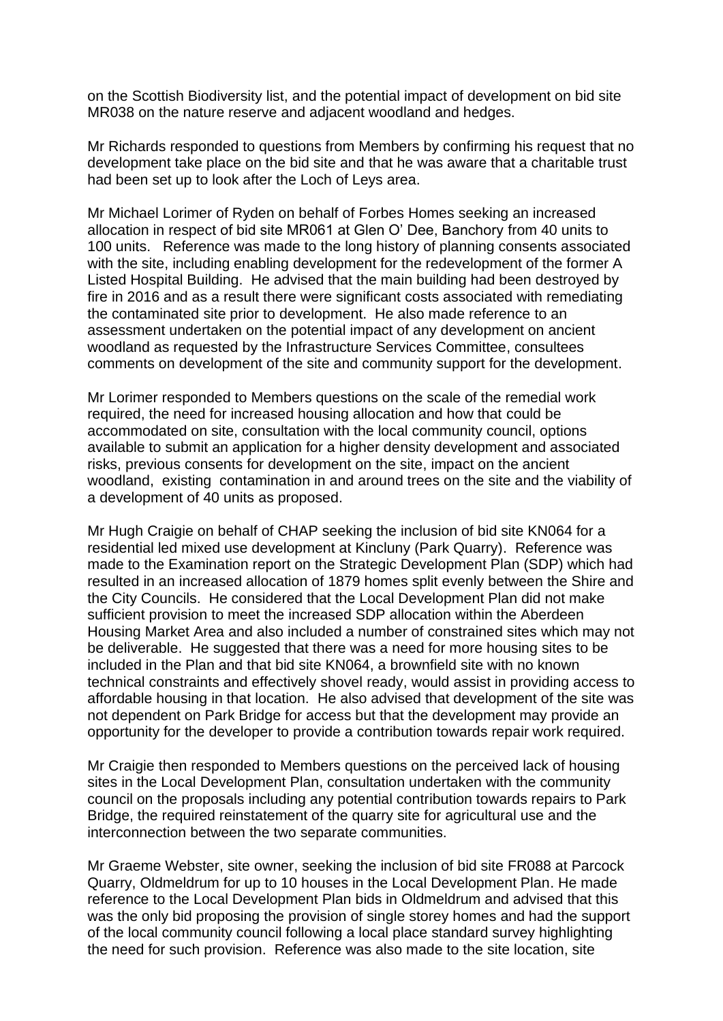on the Scottish Biodiversity list, and the potential impact of development on bid site MR038 on the nature reserve and adjacent woodland and hedges.

Mr Richards responded to questions from Members by confirming his request that no development take place on the bid site and that he was aware that a charitable trust had been set up to look after the Loch of Leys area.

Mr Michael Lorimer of Ryden on behalf of Forbes Homes seeking an increased allocation in respect of bid site MR061 at Glen O' Dee, Banchory from 40 units to 100 units. Reference was made to the long history of planning consents associated with the site, including enabling development for the redevelopment of the former A Listed Hospital Building. He advised that the main building had been destroyed by fire in 2016 and as a result there were significant costs associated with remediating the contaminated site prior to development. He also made reference to an assessment undertaken on the potential impact of any development on ancient woodland as requested by the Infrastructure Services Committee, consultees comments on development of the site and community support for the development.

Mr Lorimer responded to Members questions on the scale of the remedial work required, the need for increased housing allocation and how that could be accommodated on site, consultation with the local community council, options available to submit an application for a higher density development and associated risks, previous consents for development on the site, impact on the ancient woodland, existing contamination in and around trees on the site and the viability of a development of 40 units as proposed.

Mr Hugh Craigie on behalf of CHAP seeking the inclusion of bid site KN064 for a residential led mixed use development at Kincluny (Park Quarry). Reference was made to the Examination report on the Strategic Development Plan (SDP) which had resulted in an increased allocation of 1879 homes split evenly between the Shire and the City Councils. He considered that the Local Development Plan did not make sufficient provision to meet the increased SDP allocation within the Aberdeen Housing Market Area and also included a number of constrained sites which may not be deliverable. He suggested that there was a need for more housing sites to be included in the Plan and that bid site KN064, a brownfield site with no known technical constraints and effectively shovel ready, would assist in providing access to affordable housing in that location. He also advised that development of the site was not dependent on Park Bridge for access but that the development may provide an opportunity for the developer to provide a contribution towards repair work required.

Mr Craigie then responded to Members questions on the perceived lack of housing sites in the Local Development Plan, consultation undertaken with the community council on the proposals including any potential contribution towards repairs to Park Bridge, the required reinstatement of the quarry site for agricultural use and the interconnection between the two separate communities.

Mr Graeme Webster, site owner, seeking the inclusion of bid site FR088 at Parcock Quarry, Oldmeldrum for up to 10 houses in the Local Development Plan. He made reference to the Local Development Plan bids in Oldmeldrum and advised that this was the only bid proposing the provision of single storey homes and had the support of the local community council following a local place standard survey highlighting the need for such provision. Reference was also made to the site location, site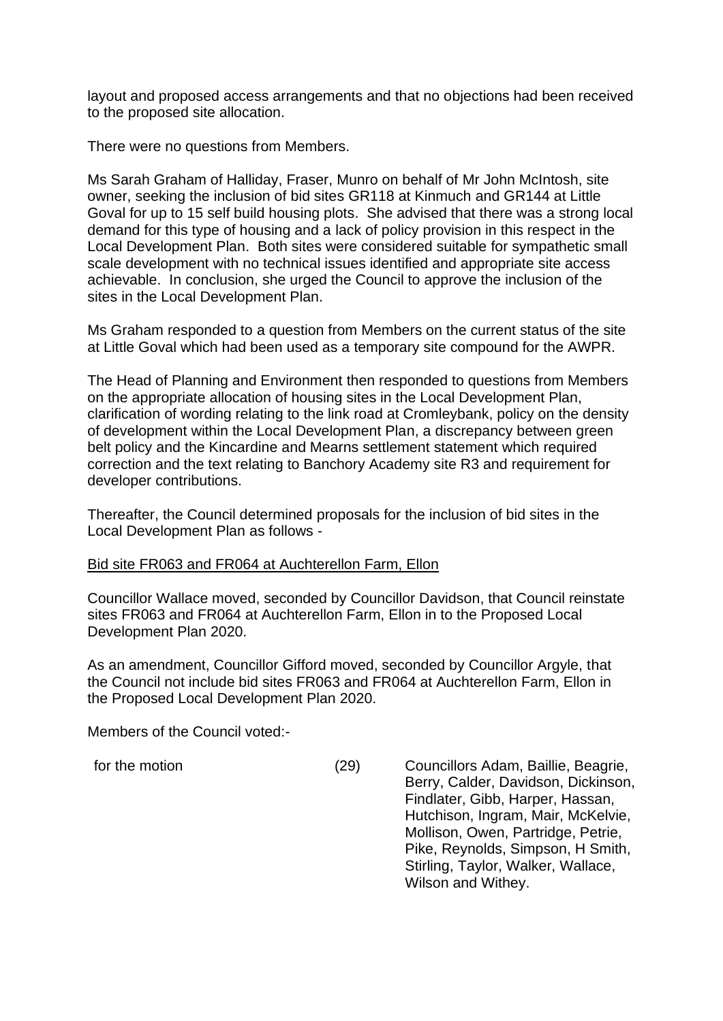layout and proposed access arrangements and that no objections had been received to the proposed site allocation.

There were no questions from Members.

Ms Sarah Graham of Halliday, Fraser, Munro on behalf of Mr John McIntosh, site owner, seeking the inclusion of bid sites GR118 at Kinmuch and GR144 at Little Goval for up to 15 self build housing plots. She advised that there was a strong local demand for this type of housing and a lack of policy provision in this respect in the Local Development Plan. Both sites were considered suitable for sympathetic small scale development with no technical issues identified and appropriate site access achievable. In conclusion, she urged the Council to approve the inclusion of the sites in the Local Development Plan.

Ms Graham responded to a question from Members on the current status of the site at Little Goval which had been used as a temporary site compound for the AWPR.

The Head of Planning and Environment then responded to questions from Members on the appropriate allocation of housing sites in the Local Development Plan, clarification of wording relating to the link road at Cromleybank, policy on the density of development within the Local Development Plan, a discrepancy between green belt policy and the Kincardine and Mearns settlement statement which required correction and the text relating to Banchory Academy site R3 and requirement for developer contributions.

Thereafter, the Council determined proposals for the inclusion of bid sites in the Local Development Plan as follows -

#### Bid site FR063 and FR064 at Auchterellon Farm, Ellon

Councillor Wallace moved, seconded by Councillor Davidson, that Council reinstate sites FR063 and FR064 at Auchterellon Farm, Ellon in to the Proposed Local Development Plan 2020.

As an amendment, Councillor Gifford moved, seconded by Councillor Argyle, that the Council not include bid sites FR063 and FR064 at Auchterellon Farm, Ellon in the Proposed Local Development Plan 2020.

Members of the Council voted:-

for the motion (29) Councillors Adam, Baillie, Beagrie, Berry, Calder, Davidson, Dickinson, Findlater, Gibb, Harper, Hassan, Hutchison, Ingram, Mair, McKelvie, Mollison, Owen, Partridge, Petrie, Pike, Reynolds, Simpson, H Smith, Stirling, Taylor, Walker, Wallace, Wilson and Withey.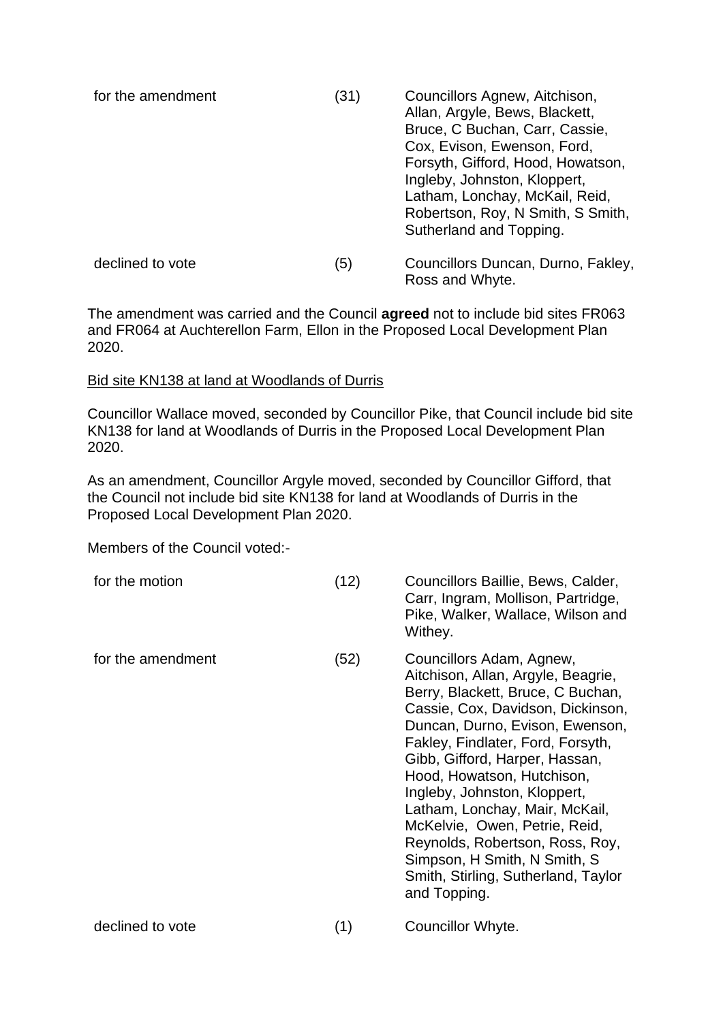| for the amendment | (31) | Councillors Agnew, Aitchison,<br>Allan, Argyle, Bews, Blackett,<br>Bruce, C Buchan, Carr, Cassie,<br>Cox, Evison, Ewenson, Ford,<br>Forsyth, Gifford, Hood, Howatson,<br>Ingleby, Johnston, Kloppert,<br>Latham, Lonchay, McKail, Reid,<br>Robertson, Roy, N Smith, S Smith,<br>Sutherland and Topping. |
|-------------------|------|---------------------------------------------------------------------------------------------------------------------------------------------------------------------------------------------------------------------------------------------------------------------------------------------------------|
| declined to vote  | (5)  | Councillors Duncan, Durno, Fakley,<br>Ross and Whyte.                                                                                                                                                                                                                                                   |

The amendment was carried and the Council **agreed** not to include bid sites FR063 and FR064 at Auchterellon Farm, Ellon in the Proposed Local Development Plan 2020.

### Bid site KN138 at land at Woodlands of Durris

Councillor Wallace moved, seconded by Councillor Pike, that Council include bid site KN138 for land at Woodlands of Durris in the Proposed Local Development Plan 2020.

As an amendment, Councillor Argyle moved, seconded by Councillor Gifford, that the Council not include bid site KN138 for land at Woodlands of Durris in the Proposed Local Development Plan 2020.

Members of the Council voted:-

| for the motion    | (12) | Councillors Baillie, Bews, Calder,<br>Carr, Ingram, Mollison, Partridge,<br>Pike, Walker, Wallace, Wilson and<br>Withey.                                                                                                                                                                                                                                                                                                                                                                                      |
|-------------------|------|---------------------------------------------------------------------------------------------------------------------------------------------------------------------------------------------------------------------------------------------------------------------------------------------------------------------------------------------------------------------------------------------------------------------------------------------------------------------------------------------------------------|
| for the amendment | (52) | Councillors Adam, Agnew,<br>Aitchison, Allan, Argyle, Beagrie,<br>Berry, Blackett, Bruce, C Buchan,<br>Cassie, Cox, Davidson, Dickinson,<br>Duncan, Durno, Evison, Ewenson,<br>Fakley, Findlater, Ford, Forsyth,<br>Gibb, Gifford, Harper, Hassan,<br>Hood, Howatson, Hutchison,<br>Ingleby, Johnston, Kloppert,<br>Latham, Lonchay, Mair, McKail,<br>McKelvie, Owen, Petrie, Reid,<br>Reynolds, Robertson, Ross, Roy,<br>Simpson, H Smith, N Smith, S<br>Smith, Stirling, Sutherland, Taylor<br>and Topping. |
| declined to vote  | (1)  | Councillor Whyte.                                                                                                                                                                                                                                                                                                                                                                                                                                                                                             |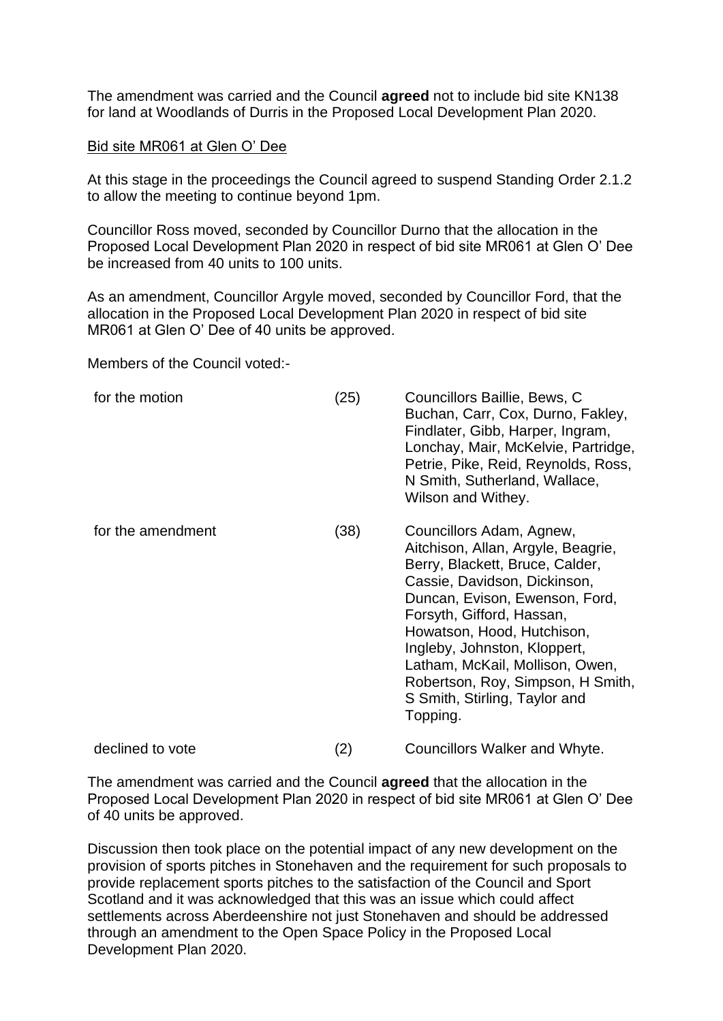The amendment was carried and the Council **agreed** not to include bid site KN138 for land at Woodlands of Durris in the Proposed Local Development Plan 2020.

#### Bid site MR061 at Glen O' Dee

At this stage in the proceedings the Council agreed to suspend Standing Order 2.1.2 to allow the meeting to continue beyond 1pm.

Councillor Ross moved, seconded by Councillor Durno that the allocation in the Proposed Local Development Plan 2020 in respect of bid site MR061 at Glen O' Dee be increased from 40 units to 100 units.

As an amendment, Councillor Argyle moved, seconded by Councillor Ford, that the allocation in the Proposed Local Development Plan 2020 in respect of bid site MR061 at Glen O' Dee of 40 units be approved.

Members of the Council voted:-

| for the motion    | (25) | Councillors Baillie, Bews, C<br>Buchan, Carr, Cox, Durno, Fakley,<br>Findlater, Gibb, Harper, Ingram,<br>Lonchay, Mair, McKelvie, Partridge,<br>Petrie, Pike, Reid, Reynolds, Ross,<br>N Smith, Sutherland, Wallace,<br>Wilson and Withey.                                                                                                                                          |
|-------------------|------|-------------------------------------------------------------------------------------------------------------------------------------------------------------------------------------------------------------------------------------------------------------------------------------------------------------------------------------------------------------------------------------|
| for the amendment | (38) | Councillors Adam, Agnew,<br>Aitchison, Allan, Argyle, Beagrie,<br>Berry, Blackett, Bruce, Calder,<br>Cassie, Davidson, Dickinson,<br>Duncan, Evison, Ewenson, Ford,<br>Forsyth, Gifford, Hassan,<br>Howatson, Hood, Hutchison,<br>Ingleby, Johnston, Kloppert,<br>Latham, McKail, Mollison, Owen,<br>Robertson, Roy, Simpson, H Smith,<br>S Smith, Stirling, Taylor and<br>Topping. |
| declined to vote  | (2)  | Councillors Walker and Whyte.                                                                                                                                                                                                                                                                                                                                                       |

The amendment was carried and the Council **agreed** that the allocation in the Proposed Local Development Plan 2020 in respect of bid site MR061 at Glen O' Dee of 40 units be approved.

Discussion then took place on the potential impact of any new development on the provision of sports pitches in Stonehaven and the requirement for such proposals to provide replacement sports pitches to the satisfaction of the Council and Sport Scotland and it was acknowledged that this was an issue which could affect settlements across Aberdeenshire not just Stonehaven and should be addressed through an amendment to the Open Space Policy in the Proposed Local Development Plan 2020.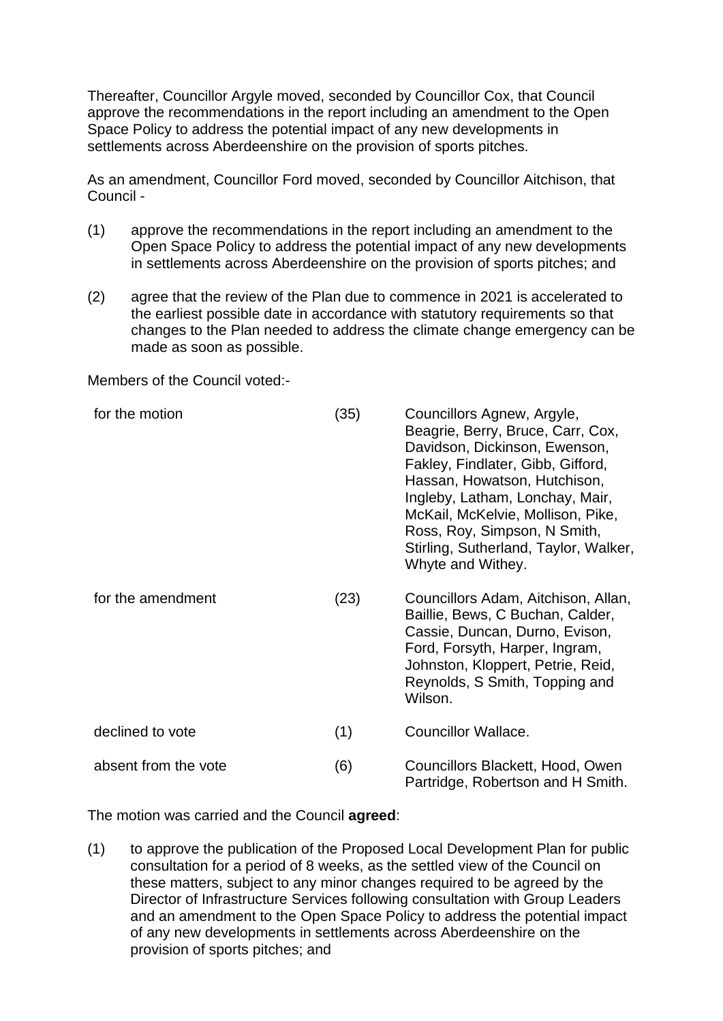Thereafter, Councillor Argyle moved, seconded by Councillor Cox, that Council approve the recommendations in the report including an amendment to the Open Space Policy to address the potential impact of any new developments in settlements across Aberdeenshire on the provision of sports pitches.

As an amendment, Councillor Ford moved, seconded by Councillor Aitchison, that Council -

- (1) approve the recommendations in the report including an amendment to the Open Space Policy to address the potential impact of any new developments in settlements across Aberdeenshire on the provision of sports pitches; and
- (2) agree that the review of the Plan due to commence in 2021 is accelerated to the earliest possible date in accordance with statutory requirements so that changes to the Plan needed to address the climate change emergency can be made as soon as possible.

Members of the Council voted:-

| for the motion       | (35) | Councillors Agnew, Argyle,<br>Beagrie, Berry, Bruce, Carr, Cox,<br>Davidson, Dickinson, Ewenson,<br>Fakley, Findlater, Gibb, Gifford,<br>Hassan, Howatson, Hutchison,<br>Ingleby, Latham, Lonchay, Mair,<br>McKail, McKelvie, Mollison, Pike,<br>Ross, Roy, Simpson, N Smith,<br>Stirling, Sutherland, Taylor, Walker,<br>Whyte and Withey. |
|----------------------|------|---------------------------------------------------------------------------------------------------------------------------------------------------------------------------------------------------------------------------------------------------------------------------------------------------------------------------------------------|
| for the amendment    | (23) | Councillors Adam, Aitchison, Allan,<br>Baillie, Bews, C Buchan, Calder,<br>Cassie, Duncan, Durno, Evison,<br>Ford, Forsyth, Harper, Ingram,<br>Johnston, Kloppert, Petrie, Reid,<br>Reynolds, S Smith, Topping and<br>Wilson.                                                                                                               |
| declined to vote     | (1)  | <b>Councillor Wallace.</b>                                                                                                                                                                                                                                                                                                                  |
| absent from the vote | (6)  | Councillors Blackett, Hood, Owen<br>Partridge, Robertson and H Smith.                                                                                                                                                                                                                                                                       |

The motion was carried and the Council **agreed**:

(1) to approve the publication of the Proposed Local Development Plan for public consultation for a period of 8 weeks, as the settled view of the Council on these matters, subject to any minor changes required to be agreed by the Director of Infrastructure Services following consultation with Group Leaders and an amendment to the Open Space Policy to address the potential impact of any new developments in settlements across Aberdeenshire on the provision of sports pitches; and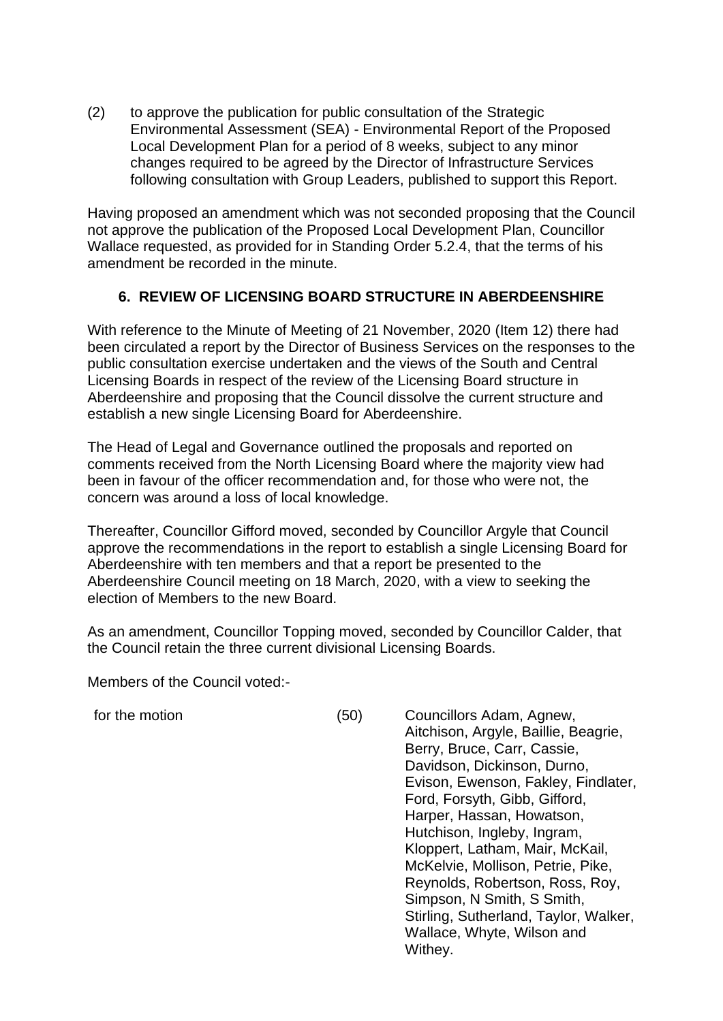(2) to approve the publication for public consultation of the Strategic Environmental Assessment (SEA) - Environmental Report of the Proposed Local Development Plan for a period of 8 weeks, subject to any minor changes required to be agreed by the Director of Infrastructure Services following consultation with Group Leaders, published to support this Report.

Having proposed an amendment which was not seconded proposing that the Council not approve the publication of the Proposed Local Development Plan, Councillor Wallace requested, as provided for in Standing Order 5.2.4, that the terms of his amendment be recorded in the minute.

# **6. REVIEW OF LICENSING BOARD STRUCTURE IN ABERDEENSHIRE**

With reference to the Minute of Meeting of 21 November, 2020 (Item 12) there had been circulated a report by the Director of Business Services on the responses to the public consultation exercise undertaken and the views of the South and Central Licensing Boards in respect of the review of the Licensing Board structure in Aberdeenshire and proposing that the Council dissolve the current structure and establish a new single Licensing Board for Aberdeenshire.

The Head of Legal and Governance outlined the proposals and reported on comments received from the North Licensing Board where the majority view had been in favour of the officer recommendation and, for those who were not, the concern was around a loss of local knowledge.

Thereafter, Councillor Gifford moved, seconded by Councillor Argyle that Council approve the recommendations in the report to establish a single Licensing Board for Aberdeenshire with ten members and that a report be presented to the Aberdeenshire Council meeting on 18 March, 2020, with a view to seeking the election of Members to the new Board.

As an amendment, Councillor Topping moved, seconded by Councillor Calder, that the Council retain the three current divisional Licensing Boards.

Members of the Council voted:-

for the motion (50) Councillors Adam, Agnew, Aitchison, Argyle, Baillie, Beagrie, Berry, Bruce, Carr, Cassie, Davidson, Dickinson, Durno, Evison, Ewenson, Fakley, Findlater, Ford, Forsyth, Gibb, Gifford, Harper, Hassan, Howatson, Hutchison, Ingleby, Ingram, Kloppert, Latham, Mair, McKail, McKelvie, Mollison, Petrie, Pike, Reynolds, Robertson, Ross, Roy, Simpson, N Smith, S Smith, Stirling, Sutherland, Taylor, Walker, Wallace, Whyte, Wilson and Withey.